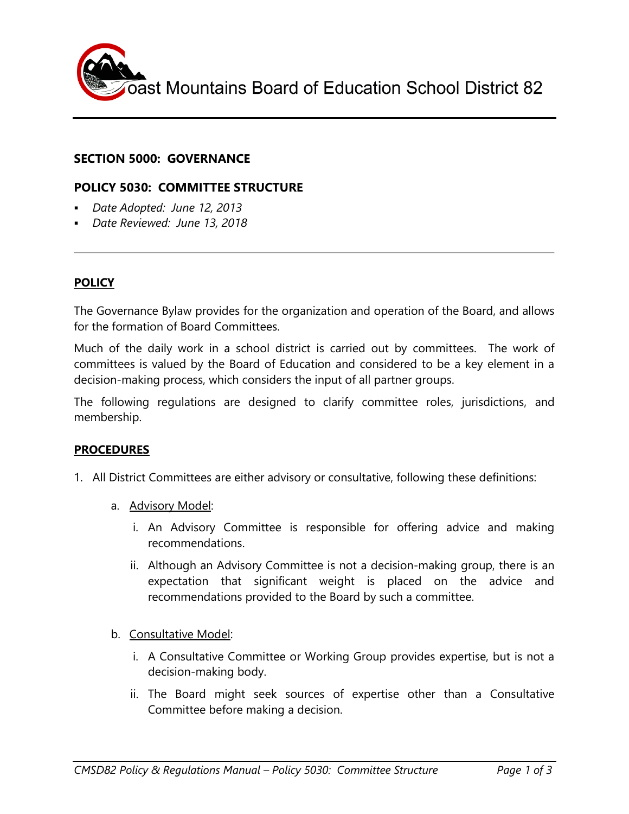

# **SECTION 5000: GOVERNANCE**

### **POLICY 5030: COMMITTEE STRUCTURE**

- *Date Adopted: June 12, 2013*
- *Date Reviewed: June 13, 2018*

### **POLICY**

The Governance Bylaw provides for the organization and operation of the Board, and allows for the formation of Board Committees.

Much of the daily work in a school district is carried out by committees. The work of committees is valued by the Board of Education and considered to be a key element in a decision-making process, which considers the input of all partner groups.

The following regulations are designed to clarify committee roles, jurisdictions, and membership.

#### **PROCEDURES**

- 1. All District Committees are either advisory or consultative, following these definitions:
	- a. Advisory Model:
		- i. An Advisory Committee is responsible for offering advice and making recommendations.
		- ii. Although an Advisory Committee is not a decision-making group, there is an expectation that significant weight is placed on the advice and recommendations provided to the Board by such a committee.
	- b. Consultative Model:
		- i. A Consultative Committee or Working Group provides expertise, but is not a decision-making body.
		- ii. The Board might seek sources of expertise other than a Consultative Committee before making a decision.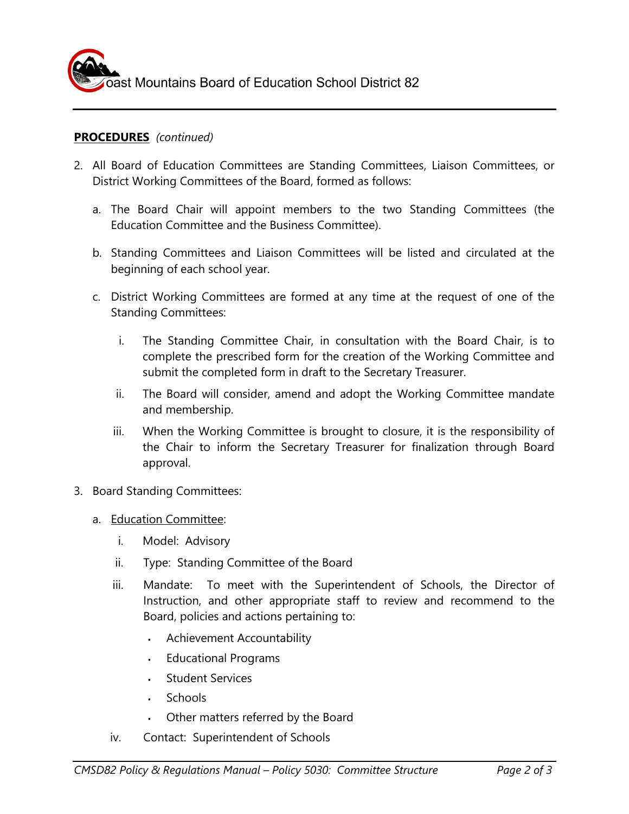

# **PROCEDURES** *(continued)*

- 2. All Board of Education Committees are Standing Committees, Liaison Committees, or District Working Committees of the Board, formed as follows:
	- a. The Board Chair will appoint members to the two Standing Committees (the Education Committee and the Business Committee).
	- b. Standing Committees and Liaison Committees will be listed and circulated at the beginning of each school year.
	- c. District Working Committees are formed at any time at the request of one of the Standing Committees:
		- i. The Standing Committee Chair, in consultation with the Board Chair, is to complete the prescribed form for the creation of the Working Committee and submit the completed form in draft to the Secretary Treasurer.
		- ii. The Board will consider, amend and adopt the Working Committee mandate and membership.
		- iii. When the Working Committee is brought to closure, it is the responsibility of the Chair to inform the Secretary Treasurer for finalization through Board approval.
- 3. Board Standing Committees:
	- a. Education Committee:
		- i. Model: Advisory
		- ii. Type: Standing Committee of the Board
		- iii. Mandate: To meet with the Superintendent of Schools, the Director of Instruction, and other appropriate staff to review and recommend to the Board, policies and actions pertaining to:
			- Achievement Accountability
			- Educational Programs
			- Student Services
			- **Schools**
			- Other matters referred by the Board
		- iv. Contact: Superintendent of Schools